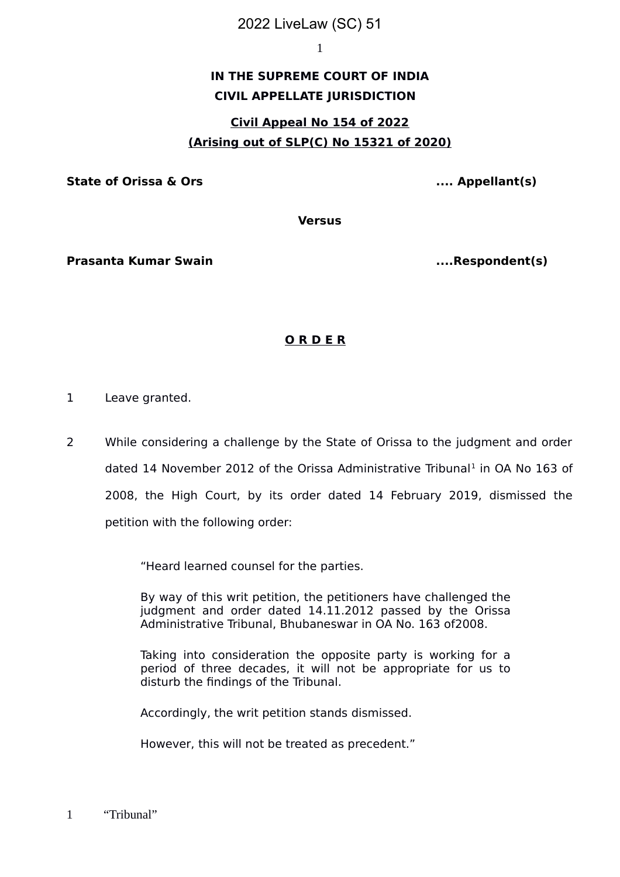### 2022 LiveLaw (SC) 51

1

# **IN THE SUPREME COURT OF INDIA CIVIL APPELLATE JURISDICTION**

# **Civil Appeal No 154 of 2022 (Arising out of SLP(C) No 15321 of 2020)**

**State of Orissa & Ors .... Appellant(s)**

**Versus**

**Prasanta Kumar Swain ....Respondent(s)**

## **O R D E R**

- 1 Leave granted.
- 2 While considering a challenge by the State of Orissa to the judgment and order dated [1](#page-0-0)4 November 2012 of the Orissa Administrative Tribunal<sup>1</sup> in OA No 163 of 2008, the High Court, by its order dated 14 February 2019, dismissed the petition with the following order:

"Heard learned counsel for the parties.

By way of this writ petition, the petitioners have challenged the judgment and order dated 14.11.2012 passed by the Orissa Administrative Tribunal, Bhubaneswar in OA No. 163 of2008.

Taking into consideration the opposite party is working for a period of three decades, it will not be appropriate for us to disturb the findings of the Tribunal.

Accordingly, the writ petition stands dismissed.

However, this will not be treated as precedent."

<span id="page-0-0"></span>1 "Tribunal"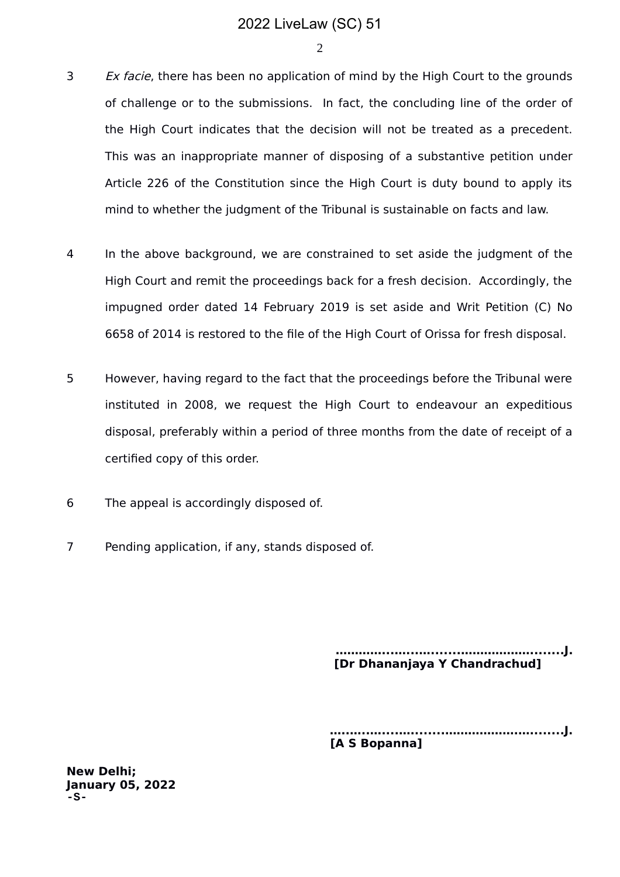2

- 3 Ex facie, there has been no application of mind by the High Court to the grounds of challenge or to the submissions. In fact, the concluding line of the order of the High Court indicates that the decision will not be treated as a precedent. This was an inappropriate manner of disposing of a substantive petition under Article 226 of the Constitution since the High Court is duty bound to apply its mind to whether the judgment of the Tribunal is sustainable on facts and law.
- 4 In the above background, we are constrained to set aside the judgment of the High Court and remit the proceedings back for a fresh decision. Accordingly, the impugned order dated 14 February 2019 is set aside and Writ Petition (C) No 6658 of 2014 is restored to the file of the High Court of Orissa for fresh disposal.
- 5 However, having regard to the fact that the proceedings before the Tribunal were instituted in 2008, we request the High Court to endeavour an expeditious disposal, preferably within a period of three months from the date of receipt of a certified copy of this order.
- 6 The appeal is accordingly disposed of.
- 7 Pending application, if any, stands disposed of.

 **…………...…...….......………………........J. [Dr Dhananjaya Y Chandrachud]**

**…..…..…....…........……………….…........J. [A S Bopanna]**

**New Delhi; January 05, 2022 -S-**